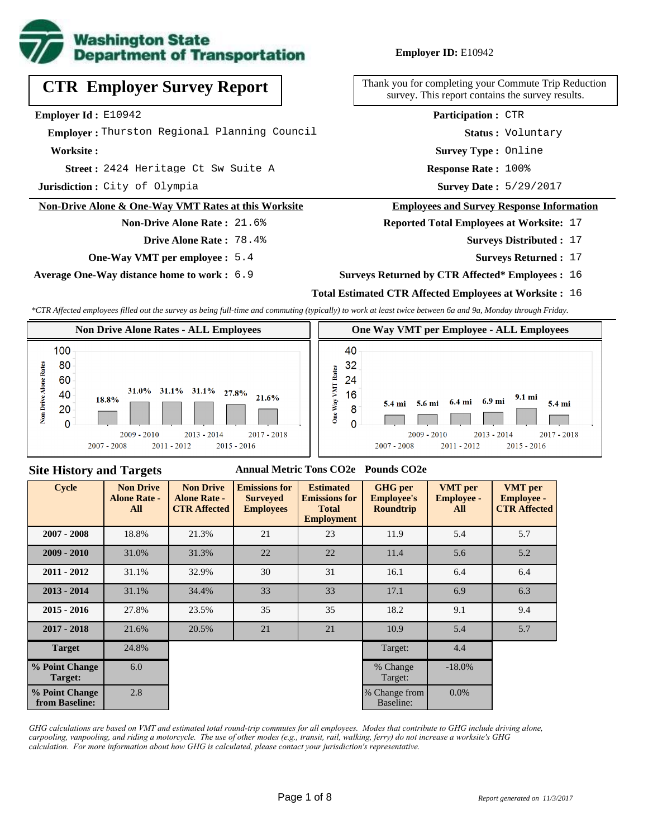

# **CTR Employer Survey Report**

**Employer Id :** E10942

 **Employer :** Thurston Regional Planning Council

**Worksite :**

2424 Heritage Ct Sw Suite A **Response Rate : Street :**

**Jurisdiction :** City of Olympia

#### **Non-Drive Alone & One-Way VMT Rates at this Worksite**

**Non-Drive Alone Rate :** 21.6% **Drive Alone Rate :** 78.4%

**One-Way VMT per employee :** 5.4

**Average One-Way distance home to work :** 6.9

#### **Employer ID:** E10942

Thank you for completing your Commute Trip Reduction survey. This report contains the survey results.

**Participation :** CTR

**Status :** Voluntary

**Survey Type :** Online

Response Rate: 100%

Survey Date: 5/29/2017

#### **Employees and Survey Response Information**

**Reported Total Employees at Worksite:** 17

- Surveys Distributed : 17
	- **Surveys Returned :** 17

#### **Surveys Returned by CTR Affected\* Employees :** 16

#### **Total Estimated CTR Affected Employees at Worksite :** 16

*\*CTR Affected employees filled out the survey as being full-time and commuting (typically) to work at least twice between 6a and 9a, Monday through Friday.*



#### **Site History and Targets**

#### **Annual Metric Tons CO2e Pounds CO2e**

| <b>Cycle</b>                     | <b>Non Drive</b><br><b>Alone Rate -</b><br>All | <b>Non Drive</b><br><b>Alone Rate -</b><br><b>CTR Affected</b> | <b>Emissions for</b><br><b>Surveyed</b><br><b>Employees</b> | <b>Estimated</b><br><b>Emissions for</b><br><b>Total</b><br><b>Employment</b> | <b>GHG</b> per<br><b>Employee's</b><br><b>Roundtrip</b> | <b>VMT</b> per<br><b>Employee -</b><br>All | <b>VMT</b> per<br><b>Employee -</b><br><b>CTR Affected</b> |
|----------------------------------|------------------------------------------------|----------------------------------------------------------------|-------------------------------------------------------------|-------------------------------------------------------------------------------|---------------------------------------------------------|--------------------------------------------|------------------------------------------------------------|
| $2007 - 2008$                    | 18.8%                                          | 21.3%                                                          | 21                                                          | 23                                                                            | 11.9                                                    | 5.4                                        | 5.7                                                        |
| $2009 - 2010$                    | 31.0%                                          | 31.3%                                                          | 22                                                          | 22                                                                            | 11.4                                                    | 5.6                                        | 5.2                                                        |
| $2011 - 2012$                    | 31.1%                                          | 32.9%                                                          | 30                                                          | 31                                                                            | 16.1                                                    | 6.4                                        | 6.4                                                        |
| $2013 - 2014$                    | 31.1%                                          | 34.4%                                                          | 33                                                          | 33                                                                            | 17.1                                                    | 6.9                                        | 6.3                                                        |
| $2015 - 2016$                    | 27.8%                                          | 23.5%                                                          | 35                                                          | 35                                                                            | 18.2                                                    | 9.1                                        | 9.4                                                        |
| $2017 - 2018$                    | 21.6%                                          | 20.5%                                                          | 21                                                          | 21                                                                            | 10.9                                                    | 5.4                                        | 5.7                                                        |
| <b>Target</b>                    | 24.8%                                          |                                                                |                                                             |                                                                               | Target:                                                 | 4.4                                        |                                                            |
| % Point Change<br>Target:        | 6.0                                            |                                                                |                                                             |                                                                               | % Change<br>Target:                                     | $-18.0\%$                                  |                                                            |
| % Point Change<br>from Baseline: | 2.8                                            |                                                                |                                                             |                                                                               | % Change from<br>Baseline:                              | $0.0\%$                                    |                                                            |

*GHG calculations are based on VMT and estimated total round-trip commutes for all employees. Modes that contribute to GHG include driving alone, carpooling, vanpooling, and riding a motorcycle. The use of other modes (e.g., transit, rail, walking, ferry) do not increase a worksite's GHG calculation. For more information about how GHG is calculated, please contact your jurisdiction's representative.*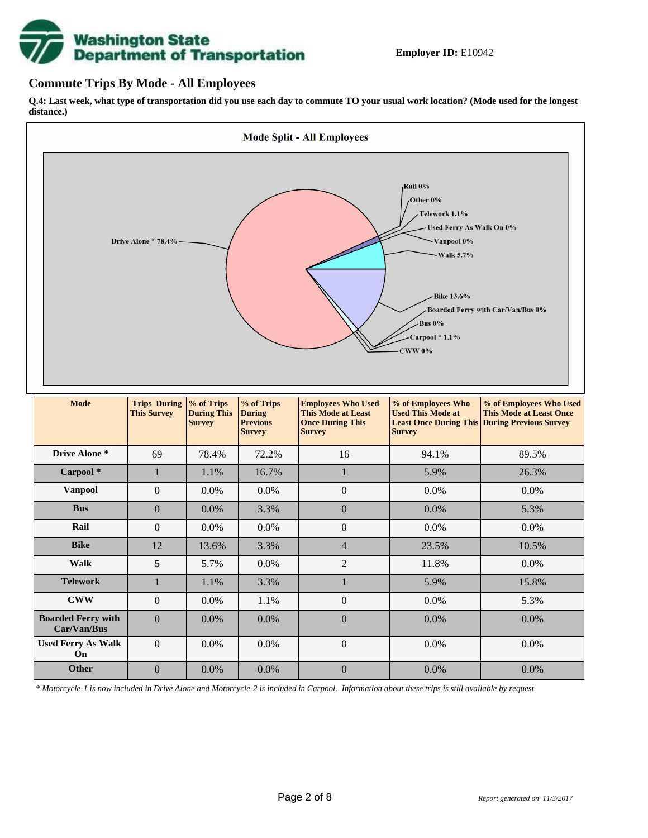# **Washington State<br>Department of Transportation**

#### **Commute Trips By Mode - All Employees**

**Q.4: Last week, what type of transportation did you use each day to commute TO your usual work location? (Mode used for the longest distance.)**



*\* Motorcycle-1 is now included in Drive Alone and Motorcycle-2 is included in Carpool. Information about these trips is still available by request.*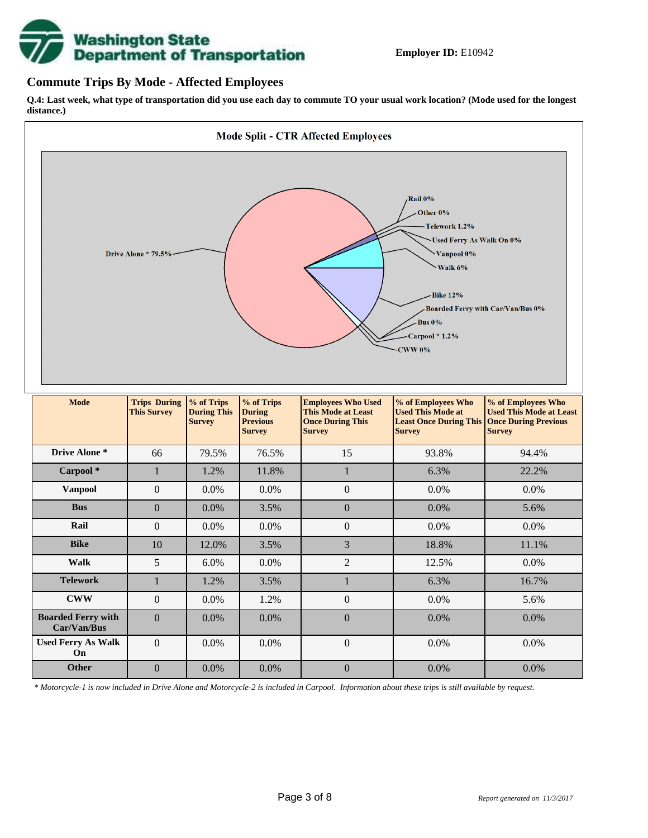

#### **Commute Trips By Mode - Affected Employees**

**Q.4: Last week, what type of transportation did you use each day to commute TO your usual work location? (Mode used for the longest distance.)**



*\* Motorcycle-1 is now included in Drive Alone and Motorcycle-2 is included in Carpool. Information about these trips is still available by request.*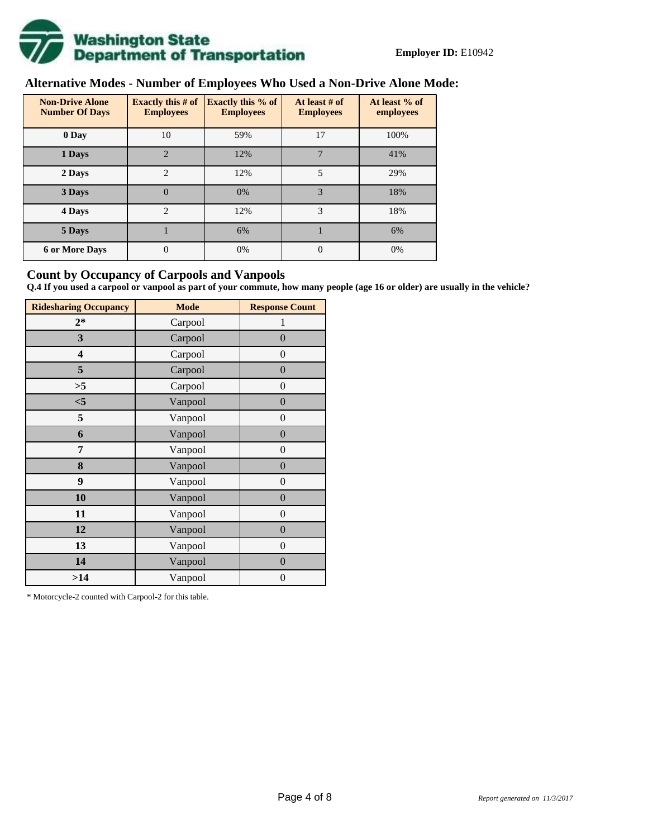

# **Alternative Modes - Number of Employees Who Used a Non-Drive Alone Mode:**

| <b>Non-Drive Alone</b><br><b>Number Of Days</b> | Exactly this $#$ of<br><b>Employees</b> | <b>Exactly this % of</b><br><b>Employees</b> | At least # of<br><b>Employees</b> | At least % of<br>employees |  |  |
|-------------------------------------------------|-----------------------------------------|----------------------------------------------|-----------------------------------|----------------------------|--|--|
| 0 Day                                           | 10                                      | 59%                                          | 17                                | 100%                       |  |  |
| 1 Days                                          | $\overline{2}$                          | 12%                                          | $\overline{7}$                    | 41%                        |  |  |
| 2 Days                                          | $\overline{c}$                          | 12%                                          | $\overline{5}$                    | 29%                        |  |  |
| 3 Days                                          | $\overline{0}$                          | 0%                                           | 3                                 | 18%                        |  |  |
| 4 Days                                          | $\overline{c}$                          | 12%                                          | 3                                 | 18%                        |  |  |
| 5 Days                                          |                                         | 6%                                           |                                   | 6%                         |  |  |
| <b>6 or More Days</b>                           | 0                                       | 0%                                           | $\Omega$                          | 0%                         |  |  |

#### **Count by Occupancy of Carpools and Vanpools**

**Q.4 If you used a carpool or vanpool as part of your commute, how many people (age 16 or older) are usually in the vehicle?**

| <b>Ridesharing Occupancy</b> | <b>Mode</b> | <b>Response Count</b> |
|------------------------------|-------------|-----------------------|
| $2*$                         | Carpool     | 1                     |
| 3                            | Carpool     | $\overline{0}$        |
| 4                            | Carpool     | $\theta$              |
| 5                            | Carpool     | $\overline{0}$        |
| >5                           | Carpool     | $\overline{0}$        |
| < 5                          | Vanpool     | $\overline{0}$        |
| 5                            | Vanpool     | $\boldsymbol{0}$      |
| 6                            | Vanpool     | $\boldsymbol{0}$      |
| 7                            | Vanpool     | $\overline{0}$        |
| 8                            | Vanpool     | $\overline{0}$        |
| 9                            | Vanpool     | $\boldsymbol{0}$      |
| 10                           | Vanpool     | $\overline{0}$        |
| 11                           | Vanpool     | $\overline{0}$        |
| 12                           | Vanpool     | $\boldsymbol{0}$      |
| 13                           | Vanpool     | $\overline{0}$        |
| 14                           | Vanpool     | $\overline{0}$        |
| >14                          | Vanpool     | $\boldsymbol{0}$      |

\* Motorcycle-2 counted with Carpool-2 for this table.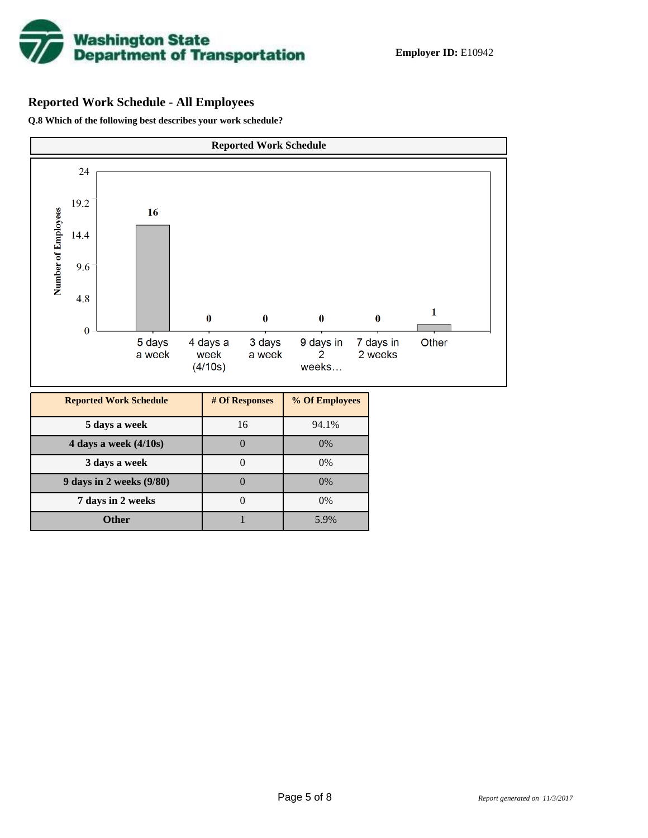

# **Reported Work Schedule - All Employees**

**Q.8 Which of the following best describes your work schedule?**

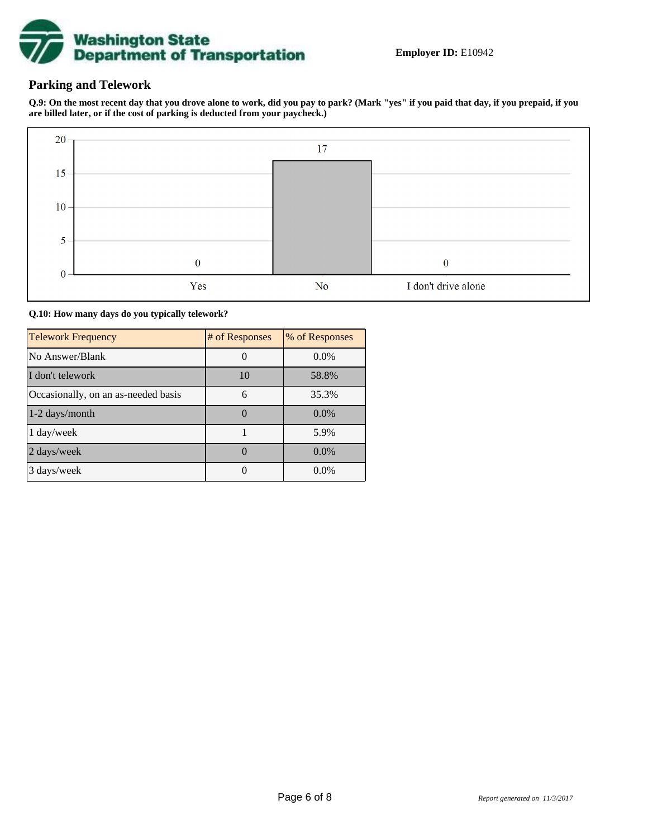

### **Parking and Telework**

**Q.9: On the most recent day that you drove alone to work, did you pay to park? (Mark "yes" if you paid that day, if you prepaid, if you are billed later, or if the cost of parking is deducted from your paycheck.)**



**Q.10: How many days do you typically telework?**

| <b>Telework Frequency</b>           | # of Responses | % of Responses |
|-------------------------------------|----------------|----------------|
| No Answer/Blank                     |                | $0.0\%$        |
| I don't telework                    | 10             | 58.8%          |
| Occasionally, on an as-needed basis | 6              | 35.3%          |
| 1-2 days/month                      |                | $0.0\%$        |
| 1 day/week                          |                | 5.9%           |
| 2 days/week                         |                | $0.0\%$        |
| 3 days/week                         |                | $0.0\%$        |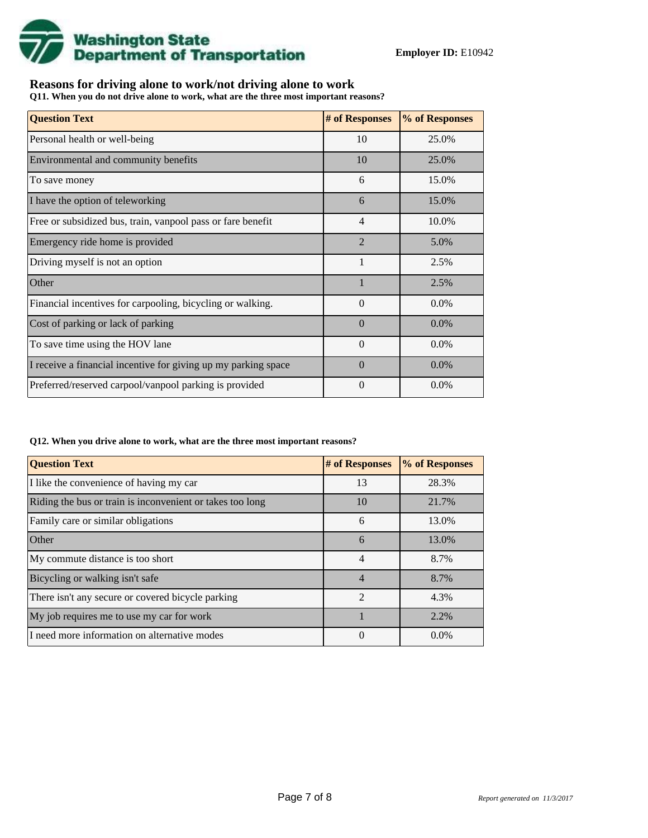

## **Reasons for driving alone to work/not driving alone to work**

**Q11. When you do not drive alone to work, what are the three most important reasons?**

| <b>Question Text</b>                                           | # of Responses | % of Responses |
|----------------------------------------------------------------|----------------|----------------|
| Personal health or well-being                                  | 10             | 25.0%          |
| Environmental and community benefits                           | 10             | 25.0%          |
| To save money                                                  | 6              | 15.0%          |
| I have the option of teleworking                               | 6              | 15.0%          |
| Free or subsidized bus, train, vanpool pass or fare benefit    | $\overline{4}$ | 10.0%          |
| Emergency ride home is provided                                | $\overline{2}$ | 5.0%           |
| Driving myself is not an option                                | 1              | 2.5%           |
| Other                                                          |                | 2.5%           |
| Financial incentives for carpooling, bicycling or walking.     | $\theta$       | $0.0\%$        |
| Cost of parking or lack of parking                             | $\Omega$       | $0.0\%$        |
| To save time using the HOV lane                                | $\Omega$       | $0.0\%$        |
| I receive a financial incentive for giving up my parking space | $\Omega$       | $0.0\%$        |
| Preferred/reserved carpool/vanpool parking is provided         | $\theta$       | $0.0\%$        |

#### **Q12. When you drive alone to work, what are the three most important reasons?**

| <b>Question Text</b>                                      | # of Responses | % of Responses |  |  |
|-----------------------------------------------------------|----------------|----------------|--|--|
| I like the convenience of having my car                   | 13             | 28.3%          |  |  |
| Riding the bus or train is inconvenient or takes too long | 10             | 21.7%          |  |  |
| Family care or similar obligations                        | 6              | 13.0%          |  |  |
| <b>Other</b>                                              | 6              | 13.0%          |  |  |
| My commute distance is too short                          | 4              | 8.7%           |  |  |
| Bicycling or walking isn't safe                           | $\overline{4}$ | 8.7%           |  |  |
| There isn't any secure or covered bicycle parking         | $\mathfrak{D}$ | 4.3%           |  |  |
| My job requires me to use my car for work                 |                | 2.2%           |  |  |
| I need more information on alternative modes              | 0              | $0.0\%$        |  |  |